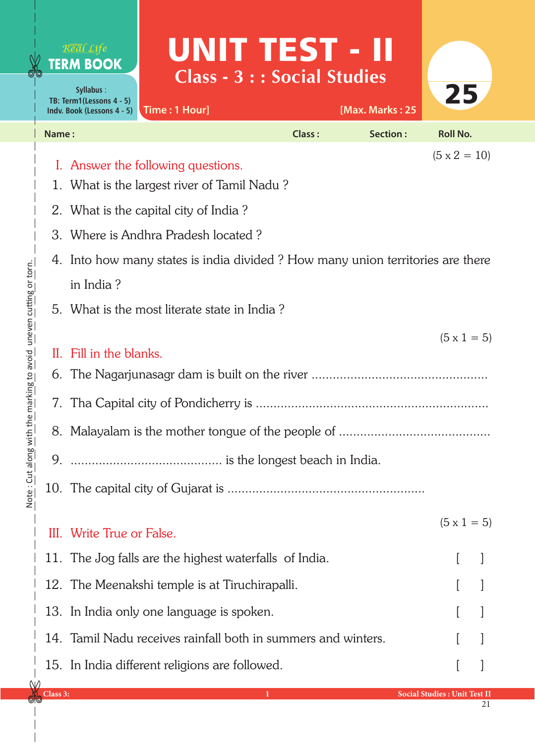|                                      |          | Real Life<br><b>TERM BOOK</b><br>Syllabus:<br>TB: Term1(Lessons 4 - 5)<br>Indv. Book (Lessons 4 - 5)                                                                                         | UNIT TEST - II<br><b>Class - 3 : : Social Studies</b><br>Time: 1 Hour] |               | [Max. Marks: 25 | 25                                  |  |  |  |  |
|--------------------------------------|----------|----------------------------------------------------------------------------------------------------------------------------------------------------------------------------------------------|------------------------------------------------------------------------|---------------|-----------------|-------------------------------------|--|--|--|--|
|                                      | Name:    |                                                                                                                                                                                              |                                                                        | <b>Class:</b> | Section:        | <b>Roll No.</b>                     |  |  |  |  |
|                                      |          | $(5 \times 2 = 10)$<br>I. Answer the following questions.<br>1. What is the largest river of Tamil Nadu?<br>2. What is the capital city of India?                                            |                                                                        |               |                 |                                     |  |  |  |  |
|                                      |          | 3. Where is Andhra Pradesh located?                                                                                                                                                          |                                                                        |               |                 |                                     |  |  |  |  |
| marking to avoid une vening or torn. | 7.       | 4. Into how many states is india divided? How many union territories are there<br>in India?<br>5. What is the most literate state in India?<br>$(5 \times 1 = 5)$<br>II. Fill in the blanks. |                                                                        |               |                 |                                     |  |  |  |  |
|                                      |          |                                                                                                                                                                                              |                                                                        |               |                 |                                     |  |  |  |  |
| Note : Cut along with ti             | 9.       |                                                                                                                                                                                              |                                                                        |               |                 |                                     |  |  |  |  |
|                                      |          | III. Write True or False.                                                                                                                                                                    |                                                                        |               |                 | $(5 \times 1 = 5)$                  |  |  |  |  |
|                                      |          |                                                                                                                                                                                              | 11. The Jog falls are the highest waterfalls of India.                 |               |                 |                                     |  |  |  |  |
|                                      |          |                                                                                                                                                                                              | 12. The Meenakshi temple is at Tiruchirapalli.                         |               |                 |                                     |  |  |  |  |
|                                      |          |                                                                                                                                                                                              | 13. In India only one language is spoken.                              |               |                 |                                     |  |  |  |  |
|                                      |          |                                                                                                                                                                                              | 14. Tamil Nadu receives rainfall both in summers and winters.          |               |                 |                                     |  |  |  |  |
|                                      | Class 3: |                                                                                                                                                                                              | 15. In India different religions are followed.                         |               |                 | <b>Social Studies: Unit Test II</b> |  |  |  |  |